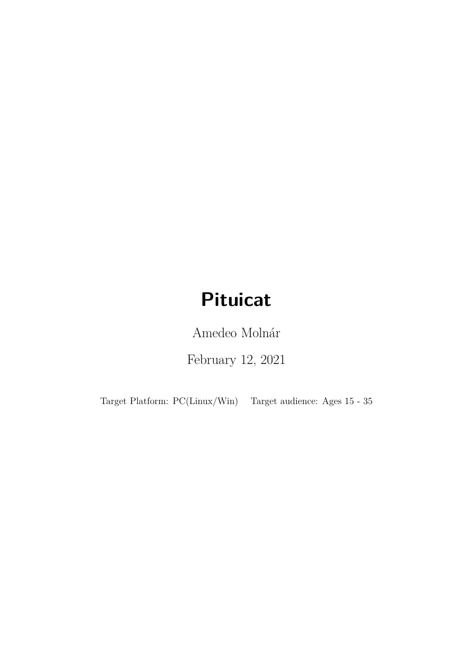# **Pituicat**

Amedeo Molnár

February 12, 2021

Target Platform: PC(Linux/Win) Target audience: Ages 15 - 35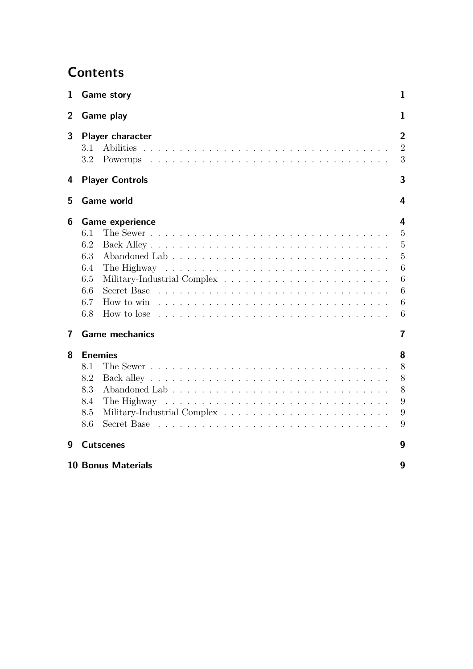# **Contents**

| $\mathbf{1}$   | <b>Game story</b>                                                                                                                                                                                                                  | 1                                                                        |
|----------------|------------------------------------------------------------------------------------------------------------------------------------------------------------------------------------------------------------------------------------|--------------------------------------------------------------------------|
| $\overline{2}$ | <b>Game play</b>                                                                                                                                                                                                                   | 1                                                                        |
| 3              | <b>Player character</b><br>3.1<br>3.2                                                                                                                                                                                              | $\overline{2}$<br>$\overline{2}$<br>3                                    |
| 4              | <b>Player Controls</b>                                                                                                                                                                                                             | 3                                                                        |
| 5              | <b>Game world</b>                                                                                                                                                                                                                  | 4                                                                        |
| 6<br>7         | <b>Game experience</b><br>6.1<br>6.2<br>6.3<br>6.4<br>6.5<br>6.6<br>Secret Base<br>6.7<br>How to win<br>6.8<br>How to lose $\ldots \ldots \ldots \ldots \ldots \ldots \ldots \ldots \ldots \ldots \ldots$<br><b>Game mechanics</b> | 4<br>5<br>$\overline{5}$<br>$\overline{5}$<br>6<br>6<br>6<br>6<br>6<br>7 |
| 8              | <b>Enemies</b><br>8.1<br>8.2<br>8.3<br>8.4<br>8.5<br>8.6                                                                                                                                                                           | 8<br>8<br>8<br>8<br>9<br>9<br>9                                          |
| 9              | <b>Cutscenes</b>                                                                                                                                                                                                                   | 9                                                                        |
|                | <b>10 Bonus Materials</b>                                                                                                                                                                                                          | 9                                                                        |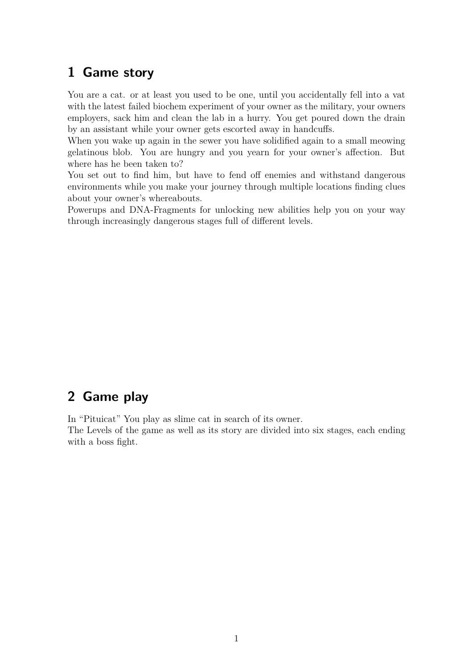### <span id="page-2-0"></span>**1 Game story**

You are a cat. or at least you used to be one, until you accidentally fell into a vat with the latest failed biochem experiment of your owner as the military, your owners employers, sack him and clean the lab in a hurry. You get poured down the drain by an assistant while your owner gets escorted away in handcuffs.

When you wake up again in the sewer you have solidified again to a small meowing gelatinous blob. You are hungry and you yearn for your owner's affection. But where has he been taken to?

You set out to find him, but have to fend off enemies and withstand dangerous environments while you make your journey through multiple locations finding clues about your owner's whereabouts.

Powerups and DNA-Fragments for unlocking new abilities help you on your way through increasingly dangerous stages full of different levels.

### <span id="page-2-1"></span>**2 Game play**

In "Pituicat" You play as slime cat in search of its owner.

The Levels of the game as well as its story are divided into six stages, each ending with a boss fight.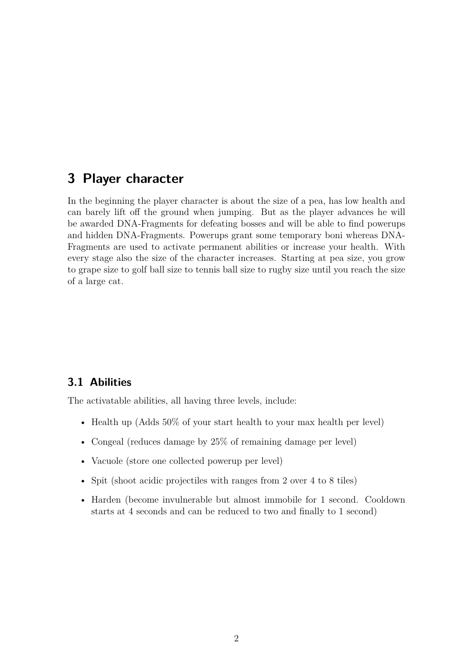### <span id="page-3-0"></span>**3 Player character**

In the beginning the player character is about the size of a pea, has low health and can barely lift off the ground when jumping. But as the player advances he will be awarded DNA-Fragments for defeating bosses and will be able to find powerups and hidden DNA-Fragments. Powerups grant some temporary boni whereas DNA-Fragments are used to activate permanent abilities or increase your health. With every stage also the size of the character increases. Starting at pea size, you grow to grape size to golf ball size to tennis ball size to rugby size until you reach the size of a large cat.

#### <span id="page-3-1"></span>**3.1 Abilities**

The activatable abilities, all having three levels, include:

- Health up (Adds  $50\%$  of your start health to your max health per level)
- Congeal (reduces damage by 25% of remaining damage per level)
- Vacuole (store one collected powerup per level)
- Spit (shoot acidic projectiles with ranges from 2 over 4 to 8 tiles)
- Harden (become invulnerable but almost immobile for 1 second. Cooldown starts at 4 seconds and can be reduced to two and finally to 1 second)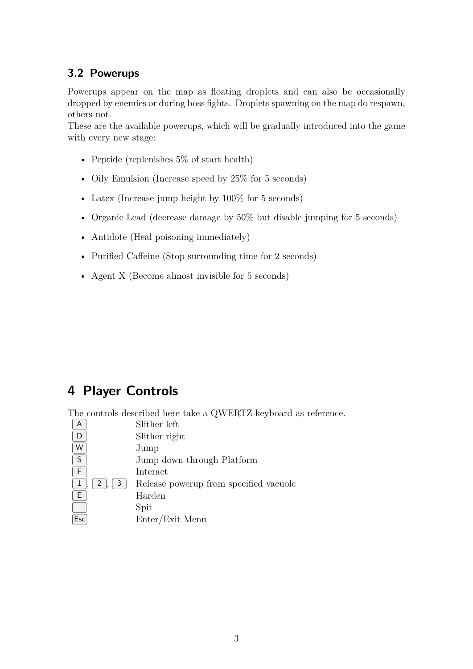### <span id="page-4-0"></span>**3.2 Powerups**

Powerups appear on the map as floating droplets and can also be occasionally dropped by enemies or during boss fights. Droplets spawning on the map do respawn, others not.

These are the available powerups, which will be gradually introduced into the game with every new stage:

- Peptide (replenishes 5\% of start health)
- Oily Emulsion (Increase speed by 25\% for 5 seconds)
- Latex (Increase jump height by 100\% for 5 seconds)
- Organic Lead (decrease damage by 50% but disable jumping for 5 seconds)
- Antidote (Heal poisoning immediately)
- Purified Caffeine (Stop surrounding time for 2 seconds)
- Agent X (Become almost invisible for 5 seconds)

# <span id="page-4-1"></span>**4 Player Controls**

The controls described here take a QWERTZ-keyboard as reference.

| Α                   | Slither left                           |
|---------------------|----------------------------------------|
|                     | Slither right                          |
| W                   | Jump                                   |
| S                   | Jump down through Platform             |
|                     | Interact                               |
| $\overline{3}$<br>2 | Release powerup from specified vacuole |
| E                   | Harden                                 |
|                     | Spit                                   |
| <b>Esc</b>          | Enter/Exit Menu                        |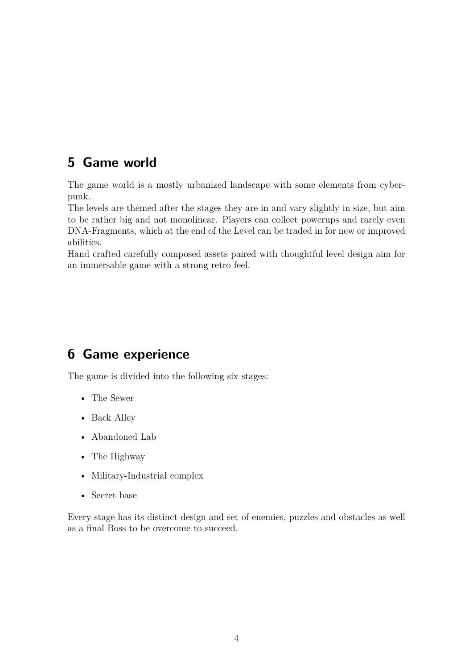## <span id="page-5-0"></span>**5 Game world**

The game world is a mostly urbanized landscape with some elements from cyberpunk.

The levels are themed after the stages they are in and vary slightly in size, but aim to be rather big and not monolinear. Players can collect powerups and rarely even DNA-Fragments, which at the end of the Level can be traded in for new or improved abilities.

Hand crafted carefully composed assets paired with thoughtful level design aim for an immersable game with a strong retro feel.

# <span id="page-5-1"></span>**6 Game experience**

The game is divided into the following six stages:

- The Sewer
- Back Alley
- Abandoned Lab
- The Highway
- Military-Industrial complex
- Secret base

Every stage has its distinct design and set of enemies, puzzles and obstacles as well as a final Boss to be overcome to succeed.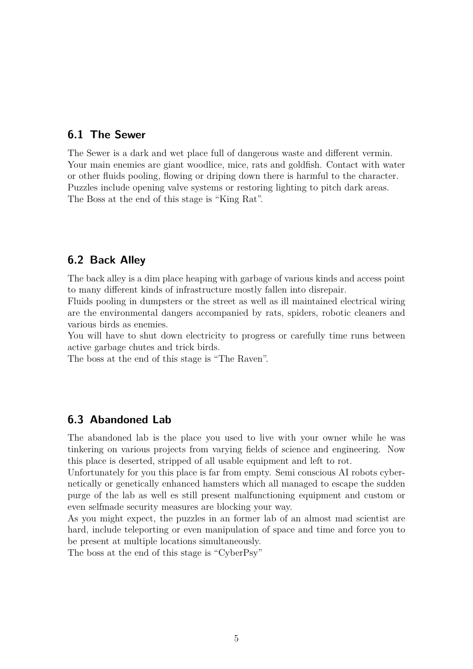#### <span id="page-6-0"></span>**6.1 The Sewer**

The Sewer is a dark and wet place full of dangerous waste and different vermin. Your main enemies are giant woodlice, mice, rats and goldfish. Contact with water or other fluids pooling, flowing or driping down there is harmful to the character. Puzzles include opening valve systems or restoring lighting to pitch dark areas. The Boss at the end of this stage is "King Rat".

#### <span id="page-6-1"></span>**6.2 Back Alley**

The back alley is a dim place heaping with garbage of various kinds and access point to many different kinds of infrastructure mostly fallen into disrepair.

Fluids pooling in dumpsters or the street as well as ill maintained electrical wiring are the environmental dangers accompanied by rats, spiders, robotic cleaners and various birds as enemies.

You will have to shut down electricity to progress or carefully time runs between active garbage chutes and trick birds.

The boss at the end of this stage is "The Raven".

#### <span id="page-6-2"></span>**6.3 Abandoned Lab**

The abandoned lab is the place you used to live with your owner while he was tinkering on various projects from varying fields of science and engineering. Now this place is deserted, stripped of all usable equipment and left to rot.

Unfortunately for you this place is far from empty. Semi conscious AI robots cybernetically or genetically enhanced hamsters which all managed to escape the sudden purge of the lab as well es still present malfunctioning equipment and custom or even selfmade security measures are blocking your way.

As you might expect, the puzzles in an former lab of an almost mad scientist are hard, include teleporting or even manipulation of space and time and force you to be present at multiple locations simultaneously.

The boss at the end of this stage is "CyberPsy"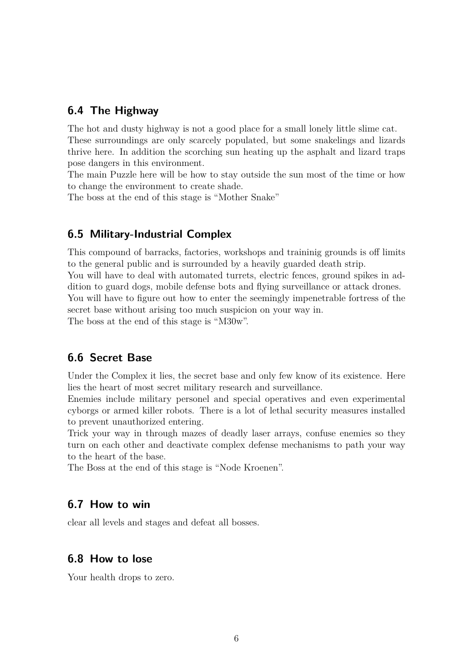#### <span id="page-7-0"></span>**6.4 The Highway**

The hot and dusty highway is not a good place for a small lonely little slime cat.

These surroundings are only scarcely populated, but some snakelings and lizards thrive here. In addition the scorching sun heating up the asphalt and lizard traps pose dangers in this environment.

The main Puzzle here will be how to stay outside the sun most of the time or how to change the environment to create shade.

The boss at the end of this stage is "Mother Snake"

#### <span id="page-7-1"></span>**6.5 Military-Industrial Complex**

This compound of barracks, factories, workshops and traininig grounds is off limits to the general public and is surrounded by a heavily guarded death strip. You will have to deal with automated turrets, electric fences, ground spikes in addition to guard dogs, mobile defense bots and flying surveillance or attack drones. You will have to figure out how to enter the seemingly impenetrable fortress of the secret base without arising too much suspicion on your way in. The boss at the end of this stage is "M30w".

#### <span id="page-7-2"></span>**6.6 Secret Base**

Under the Complex it lies, the secret base and only few know of its existence. Here lies the heart of most secret military research and surveillance.

Enemies include military personel and special operatives and even experimental cyborgs or armed killer robots. There is a lot of lethal security measures installed to prevent unauthorized entering.

Trick your way in through mazes of deadly laser arrays, confuse enemies so they turn on each other and deactivate complex defense mechanisms to path your way to the heart of the base.

The Boss at the end of this stage is "Node Kroenen".

#### <span id="page-7-3"></span>**6.7 How to win**

clear all levels and stages and defeat all bosses.

#### <span id="page-7-4"></span>**6.8 How to lose**

Your health drops to zero.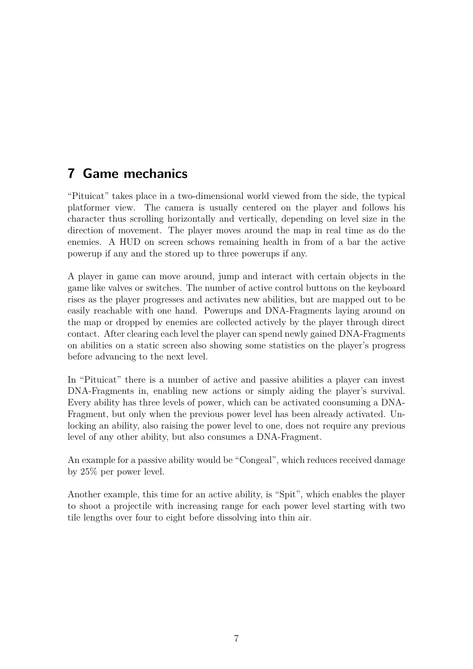# <span id="page-8-0"></span>**7 Game mechanics**

"Pituicat" takes place in a two-dimensional world viewed from the side, the typical platformer view. The camera is usually centered on the player and follows his character thus scrolling horizontally and vertically, depending on level size in the direction of movement. The player moves around the map in real time as do the enemies. A HUD on screen schows remaining health in from of a bar the active powerup if any and the stored up to three powerups if any.

A player in game can move around, jump and interact with certain objects in the game like valves or switches. The number of active control buttons on the keyboard rises as the player progresses and activates new abilities, but are mapped out to be easily reachable with one hand. Powerups and DNA-Fragments laying around on the map or dropped by enemies are collected actively by the player through direct contact. After clearing each level the player can spend newly gained DNA-Fragments on abilities on a static screen also showing some statistics on the player's progress before advancing to the next level.

In "Pituicat" there is a number of active and passive abilities a player can invest DNA-Fragments in, enabling new actions or simply aiding the player's survival. Every ability has three levels of power, which can be activated coonsuming a DNA-Fragment, but only when the previous power level has been already activated. Unlocking an ability, also raising the power level to one, does not require any previous level of any other ability, but also consumes a DNA-Fragment.

An example for a passive ability would be "Congeal", which reduces received damage by 25% per power level.

Another example, this time for an active ability, is "Spit", which enables the player to shoot a projectile with increasing range for each power level starting with two tile lengths over four to eight before dissolving into thin air.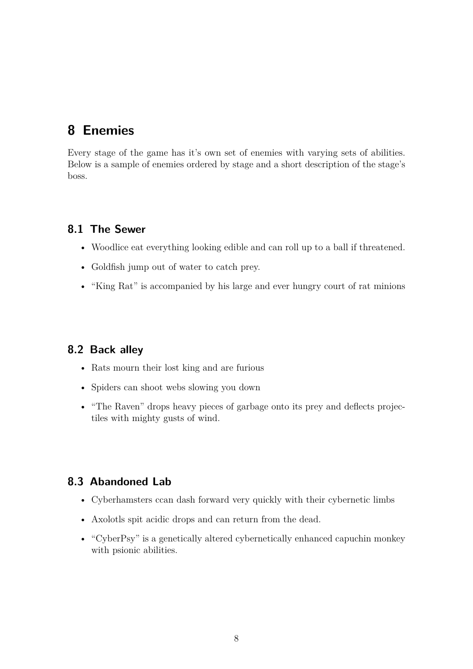# <span id="page-9-0"></span>**8 Enemies**

Every stage of the game has it's own set of enemies with varying sets of abilities. Below is a sample of enemies ordered by stage and a short description of the stage's boss.

### <span id="page-9-1"></span>**8.1 The Sewer**

- Woodlice eat everything looking edible and can roll up to a ball if threatened.
- Goldfish jump out of water to catch prey.
- "King Rat" is accompanied by his large and ever hungry court of rat minions

#### <span id="page-9-2"></span>**8.2 Back alley**

- Rats mourn their lost king and are furious
- Spiders can shoot webs slowing you down
- "The Raven" drops heavy pieces of garbage onto its prey and deflects projectiles with mighty gusts of wind.

### <span id="page-9-3"></span>**8.3 Abandoned Lab**

- Cyberhamsters ccan dash forward very quickly with their cybernetic limbs
- Axolotls spit acidic drops and can return from the dead.
- "CyberPsy" is a genetically altered cybernetically enhanced capuchin monkey with psionic abilities.